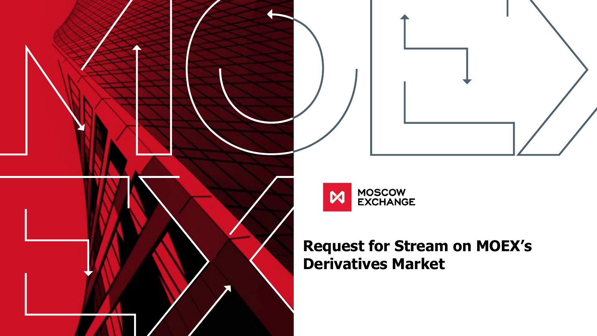



### **Request for Stream on MOEX's Derivatives Market**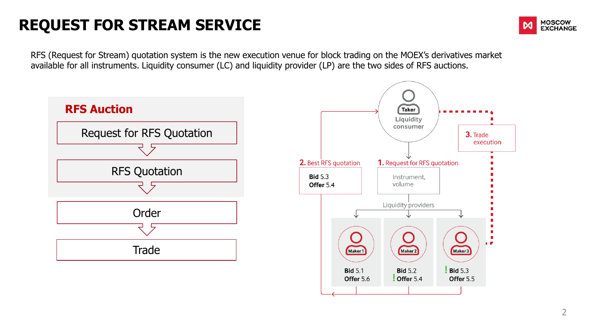# **REQUEST FOR STREAM SERVICE**



RFS (Request for Stream) quotation system is the new execution venue for block trading on the MOEX's derivatives market available for all instruments. Liquidity consumer (LC) and liquidity provider (LP) are the two sides of RFS auctions.

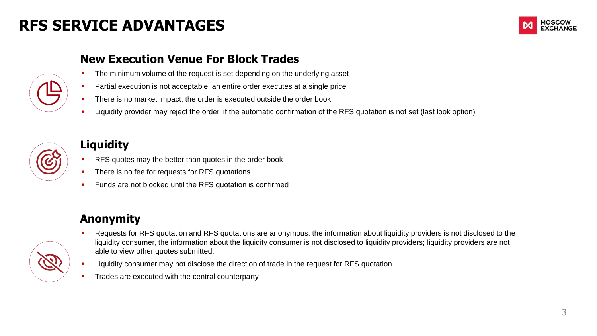### **RFS SERVICE ADVANTAGES**





#### **New Execution Venue For Block Trades**

- The minimum volume of the request is set depending on the underlying asset
- **Partial execution is not acceptable, an entire order executes at a single price**
- **There is no market impact, the order is executed outside the order book**
- **EXT** Liquidity provider may reject the order, if the automatic confirmation of the RFS quotation is not set (last look option)



#### **Liquidity**

- **RFS** quotes may the better than quotes in the order book
- **There is no fee for requests for RFS quotations**
- Funds are not blocked until the RFS quotation is confirmed

#### **Anonymity**

- **Requests for RFS quotation and RFS quotations are anonymous: the information about liquidity providers is not disclosed to the** liquidity consumer, the information about the liquidity consumer is not disclosed to liquidity providers; liquidity providers are not able to view other quotes submitted.
	- **EXECT** Liquidity consumer may not disclose the direction of trade in the request for RFS quotation
	- Trades are executed with the central counterparty

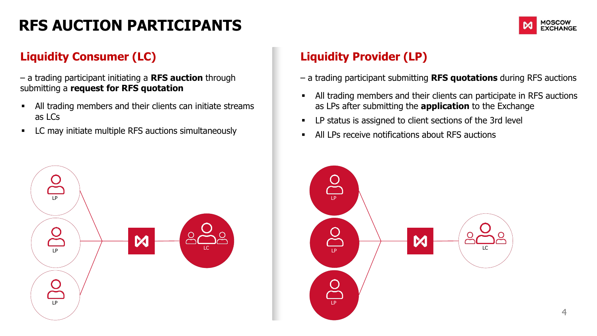# **RFS AUCTION PARTICIPANTS**



#### **Liquidity Consumer (LC)**

– a trading participant initiating a **RFS auction** through submitting a **request for RFS quotation** 

- All trading members and their clients can initiate streams as LCs
- **EXECUTE:** LC may initiate multiple RFS auctions simultaneously



#### **Liquidity Provider (LP)**

- a trading participant submitting **RFS quotations** during RFS auctions
- All trading members and their clients can participate in RFS auctions as LPs after submitting the **application** to the Exchange
- LP status is assigned to client sections of the 3rd level
- All LPs receive notifications about RFS auctions

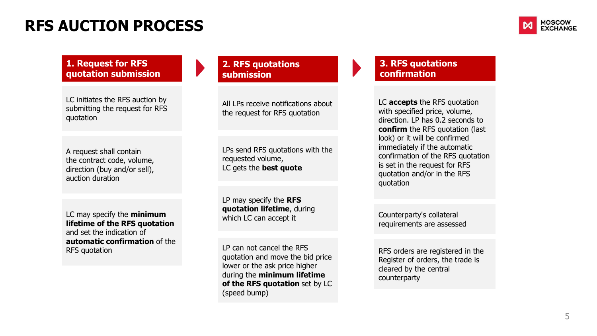### **RFS AUCTION PROCESS**



#### **1. Request for RFS quotation submission**

LC initiates the RFS auction by submitting the request for RFS quotation

A request shall contain the contract code, volume, direction (buy and/or sell), auction duration

LC may specify the **minimum lifetime of the RFS quotation**  and set the indication of **automatic confirmation** of the RFS quotation

#### **2. RFS quotations submission**

All LPs receive notifications about the request for RFS quotation

LPs send RFS quotations with the requested volume, LC gets the **best quote**

LP may specify the **RFS quotation lifetime**, during which LC can accept it

LP can not cancel the RFS quotation and move the bid price lower or the ask price higher during the **minimum lifetime of the RFS quotation** set by LC (speed bump)

#### **3. RFS quotations confirmation**

LC **accepts** the RFS quotation with specified price, volume, direction. LP has 0.2 seconds to **confirm** the RFS quotation (last look) or it will be confirmed immediately if the automatic confirmation of the RFS quotation is set in the request for RFS quotation and/or in the RFS quotation

Counterparty's collateral requirements are assessed

RFS orders are registered in the Register of orders, the trade is cleared by the central counterparty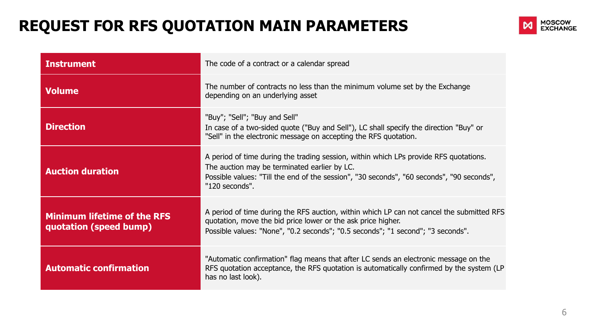# **REQUEST FOR RFS QUOTATION MAIN PARAMETERS**



| <b>Instrument</b>                                            | The code of a contract or a calendar spread                                                                                                                                                                                                          |
|--------------------------------------------------------------|------------------------------------------------------------------------------------------------------------------------------------------------------------------------------------------------------------------------------------------------------|
| <b>Volume</b>                                                | The number of contracts no less than the minimum volume set by the Exchange<br>depending on an underlying asset                                                                                                                                      |
| <b>Direction</b>                                             | "Buy"; "Sell"; "Buy and Sell"<br>In case of a two-sided quote ("Buy and Sell"), LC shall specify the direction "Buy" or<br>"Sell" in the electronic message on accepting the RFS quotation.                                                          |
| <b>Auction duration</b>                                      | A period of time during the trading session, within which LPs provide RFS quotations.<br>The auction may be terminated earlier by LC.<br>Possible values: "Till the end of the session", "30 seconds", "60 seconds", "90 seconds",<br>"120 seconds". |
| <b>Minimum lifetime of the RFS</b><br>quotation (speed bump) | A period of time during the RFS auction, within which LP can not cancel the submitted RFS<br>quotation, move the bid price lower or the ask price higher.<br>Possible values: "None", "0.2 seconds"; "0.5 seconds"; "1 second"; "3 seconds".         |
| <b>Automatic confirmation</b>                                | "Automatic confirmation" flag means that after LC sends an electronic message on the<br>RFS quotation acceptance, the RFS quotation is automatically confirmed by the system (LP<br>has no last look).                                               |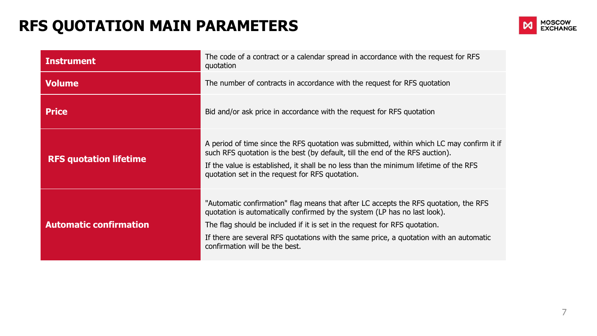# **RFS QUOTATION MAIN PARAMETERS**



| <b>Instrument</b>             | The code of a contract or a calendar spread in accordance with the request for RFS<br>quotation                                                                                                                                                                                                                                                                             |  |  |  |  |
|-------------------------------|-----------------------------------------------------------------------------------------------------------------------------------------------------------------------------------------------------------------------------------------------------------------------------------------------------------------------------------------------------------------------------|--|--|--|--|
| Volume                        | The number of contracts in accordance with the request for RFS quotation                                                                                                                                                                                                                                                                                                    |  |  |  |  |
| <b>Price</b>                  | Bid and/or ask price in accordance with the request for RFS quotation                                                                                                                                                                                                                                                                                                       |  |  |  |  |
| <b>RFS quotation lifetime</b> | A period of time since the RFS quotation was submitted, within which LC may confirm it if<br>such RFS quotation is the best (by default, till the end of the RFS auction).<br>If the value is established, it shall be no less than the minimum lifetime of the RFS<br>quotation set in the request for RFS quotation.                                                      |  |  |  |  |
| <b>Automatic confirmation</b> | "Automatic confirmation" flag means that after LC accepts the RFS quotation, the RFS<br>quotation is automatically confirmed by the system (LP has no last look).<br>The flag should be included if it is set in the request for RFS quotation.<br>If there are several RFS quotations with the same price, a quotation with an automatic<br>confirmation will be the best. |  |  |  |  |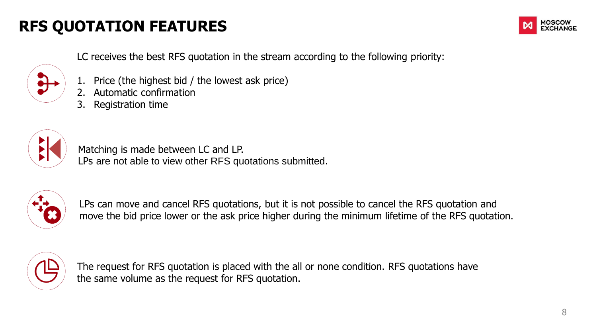# **RFS QUOTATION FEATURES**



LC receives the best RFS quotation in the stream according to the following priority:

- 1. Price (the highest bid / the lowest ask price)
- 2. Automatic confirmation
- 3. Registration time



Matching is made between LC and LP. LPs are not able to view other RFS quotations submitted.



LPs can move and cancel RFS quotations, but it is not possible to cancel the RFS quotation and move the bid price lower or the ask price higher during the minimum lifetime of the RFS quotation.



The request for RFS quotation is placed with the all or none condition. RFS quotations have the same volume as the request for RFS quotation.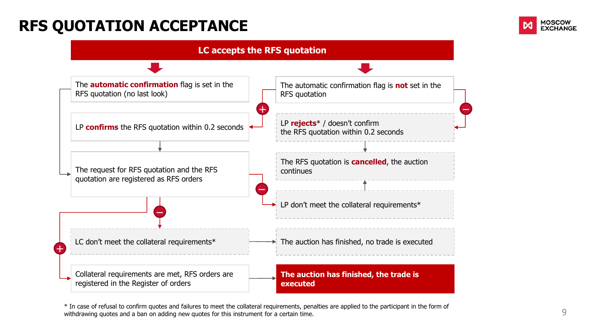### **RFS QUOTATION ACCEPTANCE**





\* In case of refusal to confirm quotes and failures to meet the collateral requirements, penalties are applied to the participant in the form of withdrawing quotes and a ban on adding new quotes for this instrument for a certain time.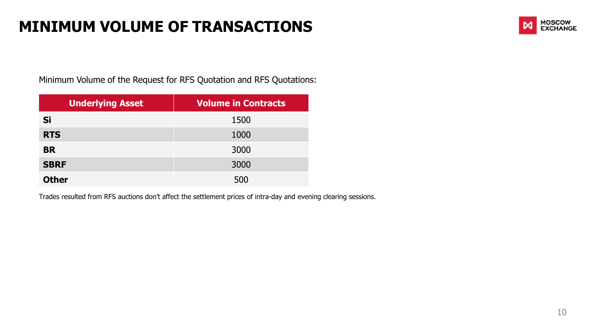### **MINIMUM VOLUME OF TRANSACTIONS**



Minimum Volume of the Request for RFS Quotation and RFS Quotations:

| <b>Underlying Asset</b> | <b>Volume in Contracts</b> |
|-------------------------|----------------------------|
| Si                      | 1500                       |
| <b>RTS</b>              | 1000                       |
| <b>BR</b>               | 3000                       |
| <b>SBRF</b>             | 3000                       |
| <b>Other</b>            | 500                        |

Trades resulted from RFS auctions don't affect the settlement prices of intra-day and evening clearing sessions.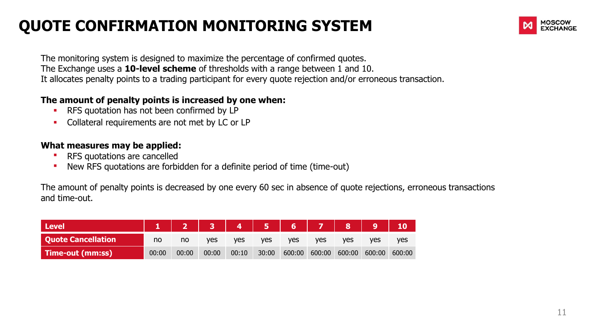# **QUOTE CONFIRMATION MONITORING SYSTEM**



The monitoring system is designed to maximize the percentage of confirmed quotes. The Exchange uses a **10-level scheme** of thresholds with a range between 1 and 10. It allocates penalty points to a trading participant for every quote rejection and/or erroneous transaction.

#### **The amount of penalty points is increased by one when:**

- **RFS** quotation has not been confirmed by LP
- Collateral requirements are not met by LC or LP

#### **What measures may be applied:**

- RFS quotations are cancelled
- New RFS quotations are forbidden for a definite period of time (time-out)

The amount of penalty points is decreased by one every 60 sec in absence of quote rejections, erroneous transactions and time-out.

| <b>Level</b>              |       |       |            |       |       | 23456789 |        |            |        |            |
|---------------------------|-------|-------|------------|-------|-------|----------|--------|------------|--------|------------|
| <b>Quote Cancellation</b> | no    | no    | <b>ves</b> | ves   | ves   | ves      | ves    | <b>ves</b> | ves    | <b>ves</b> |
| Time-out (mm:ss)          | 00:00 | 00:00 | 00:00      | 00:10 | 30:00 | 600:00   | 600:00 | 600:00     | 600:00 | 600:00     |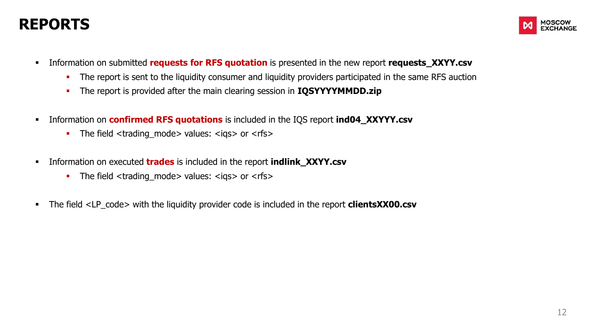### **REPORTS**



- Information on submitted **requests for RFS quotation** is presented in the new report **requests XXYY.csv** 
	- The report is sent to the liquidity consumer and liquidity providers participated in the same RFS auction
	- The report is provided after the main clearing session in **IQSYYYYMMDD.zip**
- Information on **confirmed RFS quotations** is included in the IQS report **ind04\_XXYYY.csv**
	- The field  $\langle$  trading mode  $>$  values:  $\langle$  igs $>$  or  $\langle$  rfs $>$
- Information on executed **trades** is included in the report **indlink\_XXYY.csv**
	- The field <trading\_mode> values: <igs> or <rfs>
- The field <LP\_code> with the liquidity provider code is included in the report **clientsXX00.csv**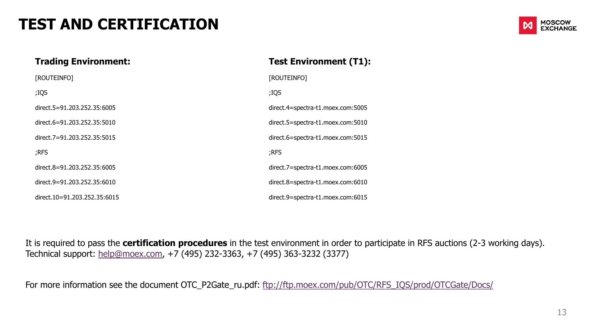### **TEST AND CERTIFICATION**



#### **Trading Environment:**

| [ROUTEINFO]                  | [ROUTEINFO]           |
|------------------------------|-----------------------|
| ;IQS                         | ;IQS                  |
| direct.5=91.203.252.35:6005  | direct.4=spectra-t1.n |
| direct.6=91.203.252.35:5010  | direct.5=spectra-t1.n |
| direct.7=91.203.252.35:5015  | direct.6=spectra-t1.n |
| ;RFS                         | ;RFS                  |
| direct.8=91.203.252.35:6005  | direct.7=spectra-t1.n |
| direct.9=91.203.252.35:6010  | direct.8=spectra-t1.n |
| direct.10=91.203.252.35:6015 | direct.9=spectra-t1.n |

#### **Test Environment (Т1):**

noex.com:5005 moex.com:5010 moex.com:5015 noex.com:6005 moex.com:6010 direct.9=spectra-t1.moex.com:6015

It is required to pass the **certification procedures** in the test environment in order to participate in RFS auctions (2-3 working days). Technical support: [help@moex.com](mailto:help@moex.com), +7 (495) 232-3363, +7 (495) 363-3232 (3377)

For more information see the document OTC\_P2Gate\_ru.pdf: [ftp://ftp.moex.com/pub/OTC/RFS\\_IQS/prod/OTCGate/Docs/](ftp://ftp.moex.com/pub/OTC/RFS_IQS/prod/OTCGate/Docs/)